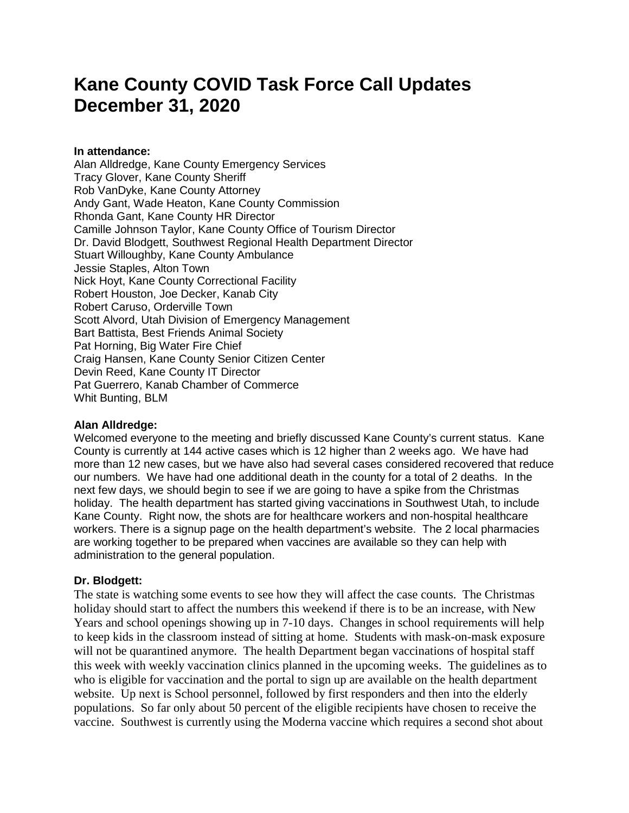# **Kane County COVID Task Force Call Updates December 31, 2020**

### **In attendance:**

Alan Alldredge, Kane County Emergency Services Tracy Glover, Kane County Sheriff Rob VanDyke, Kane County Attorney Andy Gant, Wade Heaton, Kane County Commission Rhonda Gant, Kane County HR Director Camille Johnson Taylor, Kane County Office of Tourism Director Dr. David Blodgett, Southwest Regional Health Department Director Stuart Willoughby, Kane County Ambulance Jessie Staples, Alton Town Nick Hoyt, Kane County Correctional Facility Robert Houston, Joe Decker, Kanab City Robert Caruso, Orderville Town Scott Alvord, Utah Division of Emergency Management Bart Battista, Best Friends Animal Society Pat Horning, Big Water Fire Chief Craig Hansen, Kane County Senior Citizen Center Devin Reed, Kane County IT Director Pat Guerrero, Kanab Chamber of Commerce Whit Bunting, BLM

# **Alan Alldredge:**

Welcomed everyone to the meeting and briefly discussed Kane County's current status. Kane County is currently at 144 active cases which is 12 higher than 2 weeks ago. We have had more than 12 new cases, but we have also had several cases considered recovered that reduce our numbers. We have had one additional death in the county for a total of 2 deaths. In the next few days, we should begin to see if we are going to have a spike from the Christmas holiday. The health department has started giving vaccinations in Southwest Utah, to include Kane County. Right now, the shots are for healthcare workers and non-hospital healthcare workers. There is a signup page on the health department's website. The 2 local pharmacies are working together to be prepared when vaccines are available so they can help with administration to the general population.

# **Dr. Blodgett:**

The state is watching some events to see how they will affect the case counts. The Christmas holiday should start to affect the numbers this weekend if there is to be an increase, with New Years and school openings showing up in 7-10 days. Changes in school requirements will help to keep kids in the classroom instead of sitting at home. Students with mask-on-mask exposure will not be quarantined anymore. The health Department began vaccinations of hospital staff this week with weekly vaccination clinics planned in the upcoming weeks. The guidelines as to who is eligible for vaccination and the portal to sign up are available on the health department website. Up next is School personnel, followed by first responders and then into the elderly populations. So far only about 50 percent of the eligible recipients have chosen to receive the vaccine. Southwest is currently using the Moderna vaccine which requires a second shot about